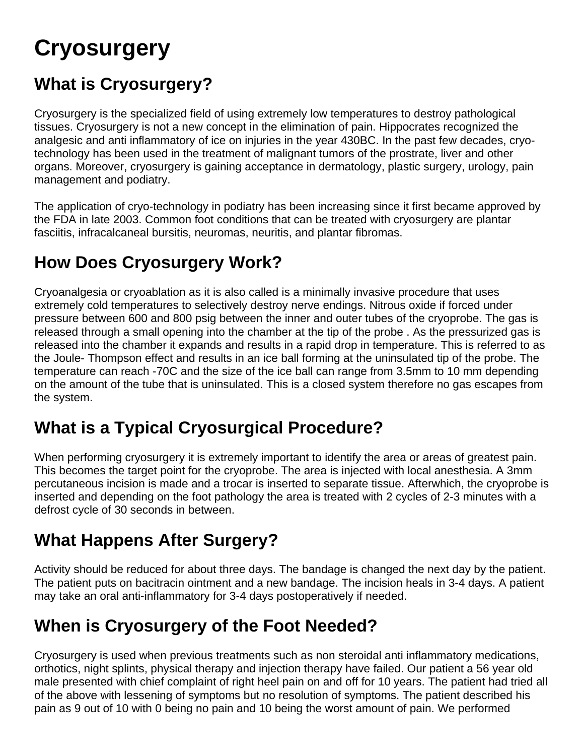# **Cryosurgery**

## **What is Cryosurgery?**

Cryosurgery is the specialized field of using extremely low temperatures to destroy pathological tissues. Cryosurgery is not a new concept in the elimination of pain. Hippocrates recognized the analgesic and anti inflammatory of ice on injuries in the year 430BC. In the past few decades, cryotechnology has been used in the treatment of malignant tumors of the prostrate, liver and other organs. Moreover, cryosurgery is gaining acceptance in dermatology, plastic surgery, urology, pain management and podiatry.

The application of cryo-technology in podiatry has been increasing since it first became approved by the FDA in late 2003. Common foot conditions that can be treated with cryosurgery are plantar fasciitis, infracalcaneal bursitis, neuromas, neuritis, and plantar fibromas.

## **How Does Cryosurgery Work?**

Cryoanalgesia or cryoablation as it is also called is a minimally invasive procedure that uses extremely cold temperatures to selectively destroy nerve endings. Nitrous oxide if forced under pressure between 600 and 800 psig between the inner and outer tubes of the cryoprobe. The gas is released through a small opening into the chamber at the tip of the probe . As the pressurized gas is released into the chamber it expands and results in a rapid drop in temperature. This is referred to as the Joule- Thompson effect and results in an ice ball forming at the uninsulated tip of the probe. The temperature can reach -70C and the size of the ice ball can range from 3.5mm to 10 mm depending on the amount of the tube that is uninsulated. This is a closed system therefore no gas escapes from the system.

#### **What is a Typical Cryosurgical Procedure?**

When performing cryosurgery it is extremely important to identify the area or areas of greatest pain. This becomes the target point for the cryoprobe. The area is injected with local anesthesia. A 3mm percutaneous incision is made and a trocar is inserted to separate tissue. Afterwhich, the cryoprobe is inserted and depending on the foot pathology the area is treated with 2 cycles of 2-3 minutes with a defrost cycle of 30 seconds in between.

## **What Happens After Surgery?**

Activity should be reduced for about three days. The bandage is changed the next day by the patient. The patient puts on bacitracin ointment and a new bandage. The incision heals in 3-4 days. A patient may take an oral anti-inflammatory for 3-4 days postoperatively if needed.

## **When is Cryosurgery of the Foot Needed?**

Cryosurgery is used when previous treatments such as non steroidal anti inflammatory medications, orthotics, night splints, physical therapy and injection therapy have failed. Our patient a 56 year old male presented with chief complaint of right heel pain on and off for 10 years. The patient had tried all of the above with lessening of symptoms but no resolution of symptoms. The patient described his pain as 9 out of 10 with 0 being no pain and 10 being the worst amount of pain. We performed